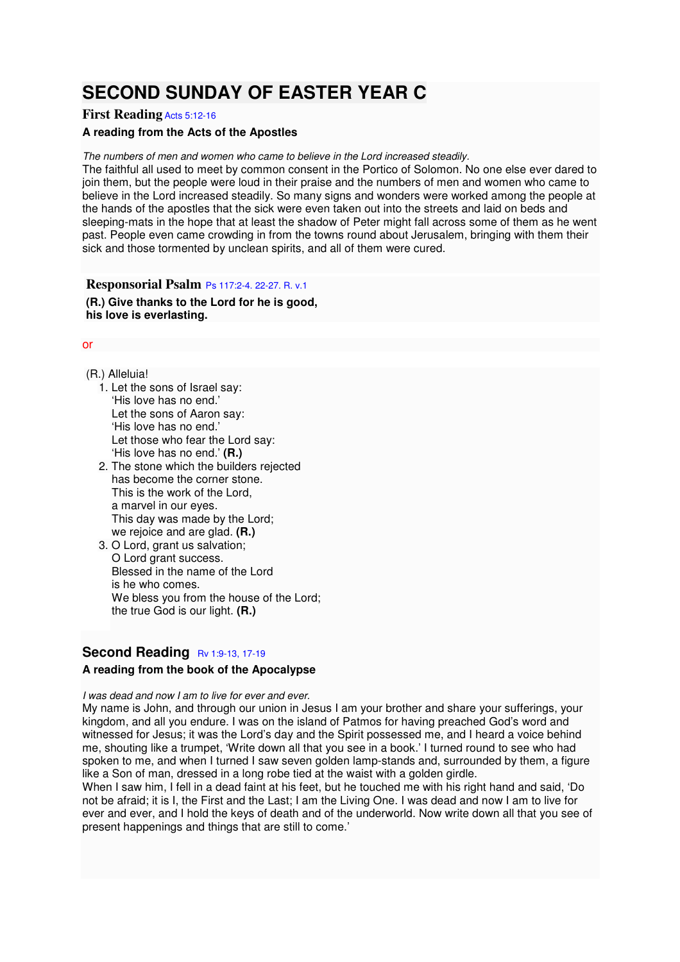# **SECOND SUNDAY OF EASTER YEAR C**

## **First Reading** Acts 5:12-16

## **A reading from the Acts of the Apostles**

The numbers of men and women who came to believe in the Lord increased steadily.

The faithful all used to meet by common consent in the Portico of Solomon. No one else ever dared to join them, but the people were loud in their praise and the numbers of men and women who came to believe in the Lord increased steadily. So many signs and wonders were worked among the people at the hands of the apostles that the sick were even taken out into the streets and laid on beds and sleeping-mats in the hope that at least the shadow of Peter might fall across some of them as he went past. People even came crowding in from the towns round about Jerusalem, bringing with them their sick and those tormented by unclean spirits, and all of them were cured.

**Responsorial Psalm** Ps 117:2-4. 22-27. R. v.1 **(R.) Give thanks to the Lord for he is good, his love is everlasting.** 

#### or

(R.) Alleluia!

- 1. Let the sons of Israel say: 'His love has no end.' Let the sons of Aaron say: 'His love has no end.' Let those who fear the Lord say: 'His love has no end.' **(R.)**
- 2. The stone which the builders rejected has become the corner stone. This is the work of the Lord, a marvel in our eyes. This day was made by the Lord; we rejoice and are glad. **(R.)**
- 3. O Lord, grant us salvation: O Lord grant success. Blessed in the name of the Lord is he who comes. We bless you from the house of the Lord: the true God is our light. **(R.)**

## **Second Reading Rv 1:9-13, 17-19**

## **A reading from the book of the Apocalypse**

I was dead and now I am to live for ever and ever.

My name is John, and through our union in Jesus I am your brother and share your sufferings, your kingdom, and all you endure. I was on the island of Patmos for having preached God's word and witnessed for Jesus; it was the Lord's day and the Spirit possessed me, and I heard a voice behind me, shouting like a trumpet, 'Write down all that you see in a book.' I turned round to see who had spoken to me, and when I turned I saw seven golden lamp-stands and, surrounded by them, a figure like a Son of man, dressed in a long robe tied at the waist with a golden girdle.

When I saw him, I fell in a dead faint at his feet, but he touched me with his right hand and said, 'Do not be afraid; it is I, the First and the Last; I am the Living One. I was dead and now I am to live for ever and ever, and I hold the keys of death and of the underworld. Now write down all that you see of present happenings and things that are still to come.'